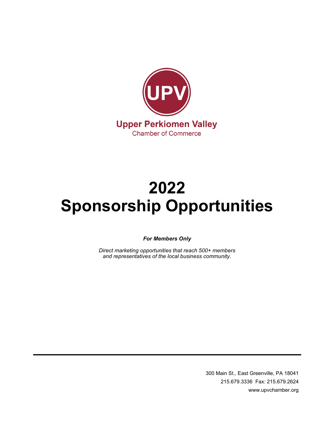

# **2022 Sponsorship Opportunities**

*For Members Only*

*Direct marketing opportunities that reach 500+ members and representatives of the local business community.*

> 300 Main St., East Greenville, PA 18041 215.679.3336 Fax: 215.679.2624 www.upvchamber.org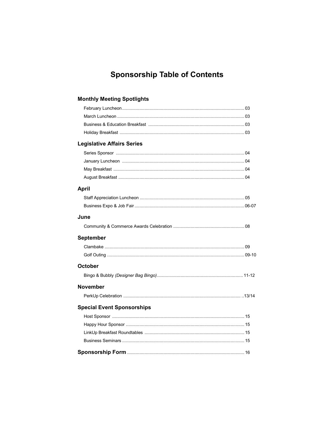# **Sponsorship Table of Contents**

# **Monthly Meeting Spotlights**

| <b>Legislative Affairs Series</b> |  |
|-----------------------------------|--|
|                                   |  |
|                                   |  |
|                                   |  |
|                                   |  |
| April                             |  |
|                                   |  |
|                                   |  |
| June                              |  |
|                                   |  |
| September                         |  |
|                                   |  |
|                                   |  |
| October                           |  |
|                                   |  |
| November                          |  |
|                                   |  |
| <b>Special Event Sponsorships</b> |  |
|                                   |  |
|                                   |  |
|                                   |  |
|                                   |  |
|                                   |  |
|                                   |  |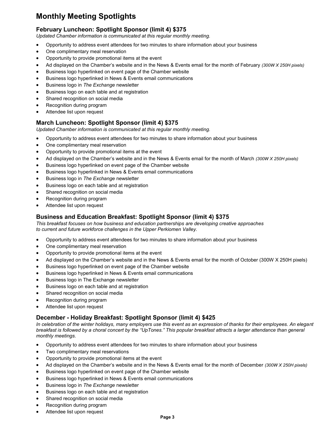# **Monthly Meeting Spotlights**

# **February Luncheon: Spotlight Sponsor (limit 4) \$375**

*Updated Chamber information is communicated at this regular monthly meeting.*

- Opportunity to address event attendees for two minutes to share information about your business
- One complimentary meal reservation
- Opportunity to provide promotional items at the event
- Ad displayed on the Chamber's website and in the News & Events email for the month of February *(300W X 250H pixels)*
- Business logo hyperlinked on event page of the Chamber website
- Business logo hyperlinked in News & Events email communications
- Business logo in *The Exchange* newsletter
- Business logo on each table and at registration
- Shared recognition on social media
- Recognition during program
- Attendee list upon request

# **March Luncheon: Spotlight Sponsor (limit 4) \$375**

*Updated Chamber information is communicated at this regular monthly meeting.*

- Opportunity to address event attendees for two minutes to share information about your business
- One complimentary meal reservation
- Opportunity to provide promotional items at the event
- Ad displayed on the Chamber's website and in the News & Events email for the month of March *(300W X 250H pixels)*
- Business logo hyperlinked on event page of the Chamber website
- Business logo hyperlinked in News & Events email communications
- Business logo in *The Exchange* newsletter
- Business logo on each table and at registration
- Shared recognition on social media
- Recognition during program
- Attendee list upon request

### **Business and Education Breakfast: Spotlight Sponsor (limit 4) \$375**

*This breakfast focuses on how business and education partnerships are developing creative approaches to current and future workforce challenges in the Upper Perkiomen Valley.* 

- Opportunity to address event attendees for two minutes to share information about your business
- One complimentary meal reservation
- Opportunity to provide promotional items at the event
- Ad displayed on the Chamber's website and in the News & Events email for the month of October (300W X 250H pixels)
- Business logo hyperlinked on event page of the Chamber website
- Business logo hyperlinked in News & Events email communications
- Business logo in The Exchange newsletter
- Business logo on each table and at registration
- Shared recognition on social media
- Recognition during program
- Attendee list upon request

### **December - Holiday Breakfast: Spotlight Sponsor (limit 4) \$425**

*In celebration of the winter holidays, many employers use this event as an expression of thanks for their employees. An elegant breakfast is followed by a choral concert by the "UpTones." This popular breakfast attracts a larger attendance than general monthly meetings.* 

- Opportunity to address event attendees for two minutes to share information about your business
- Two complimentary meal reservations
- Opportunity to provide promotional items at the event
- Ad displayed on the Chamber's website and in the News & Events email for the month of December *(300W X 250H pixels)*
- Business logo hyperlinked on event page of the Chamber website
- Business logo hyperlinked in News & Events email communications
- Business logo in *The Exchange* newsletter
- Business logo on each table and at registration
- Shared recognition on social media
- Recognition during program
- Attendee list upon request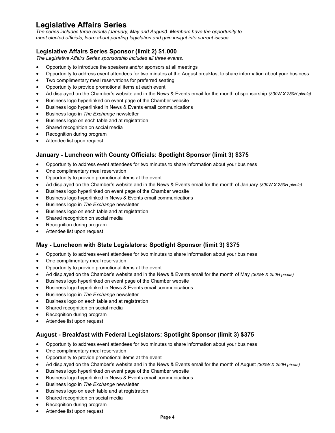# **Legislative Affairs Series**

*The series includes three events (January, May and August). Members have the opportunity to meet elected officials, learn about pending legislation and gain insight into current issues.* 

# **Legislative Affairs Series Sponsor (limit 2) \$1,000**

*The Legislative Affairs Series sponsorship includes all three events.*

- Opportunity to introduce the speakers and/or sponsors at all meetings
- Opportunity to address event attendees for two minutes at the August breakfast to share information about your business
- Two complimentary meal reservations for preferred seating
- Opportunity to provide promotional items at each event
- Ad displayed on the Chamber's website and in the News & Events email for the month of sponsorship *(300W X 250H pixels)*
- Business logo hyperlinked on event page of the Chamber website
- Business logo hyperlinked in News & Events email communications
- Business logo in *The Exchange* newsletter
- Business logo on each table and at registration
- Shared recognition on social media
- Recognition during program
- Attendee list upon request

# **January - Luncheon with County Officials: Spotlight Sponsor (limit 3) \$375**

- Opportunity to address event attendees for two minutes to share information about your business
- One complimentary meal reservation
- Opportunity to provide promotional items at the event
- Ad displayed on the Chamber's website and in the News & Events email for the month of January *(300W X 250H pixels)*
- Business logo hyperlinked on event page of the Chamber website
- Business logo hyperlinked in News & Events email communications
- Business logo in *The Exchange* newsletter
- Business logo on each table and at registration
- Shared recognition on social media
- Recognition during program
- Attendee list upon request

# **May - Luncheon with State Legislators: Spotlight Sponsor (limit 3) \$375**

- Opportunity to address event attendees for two minutes to share information about your business
- One complimentary meal reservation
- Opportunity to provide promotional items at the event
- Ad displayed on the Chamber's website and in the News & Events email for the month of May *(300W X 250H pixels)*
- Business logo hyperlinked on event page of the Chamber website
- Business logo hyperlinked in News & Events email communications
- Business logo in *The Exchange* newsletter
- Business logo on each table and at registration
- Shared recognition on social media
- Recognition during program
- Attendee list upon request

# **August - Breakfast with Federal Legislators: Spotlight Sponsor (limit 3) \$375**

- Opportunity to address event attendees for two minutes to share information about your business
- One complimentary meal reservation
- Opportunity to provide promotional items at the event
- Ad displayed on the Chamber's website and in the News & Events email for the month of August *(300W X 250H pixels)*
- Business logo hyperlinked on event page of the Chamber website
- Business logo hyperlinked in News & Events email communications
- Business logo in *The Exchange* newsletter
- Business logo on each table and at registration
- Shared recognition on social media
- Recognition during program
- Attendee list upon request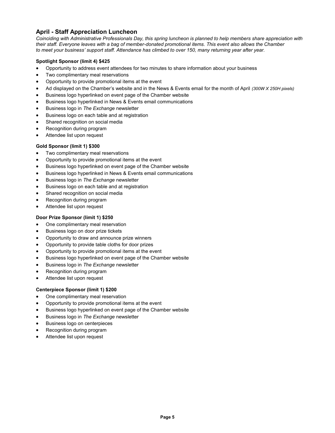# **April - Staff Appreciation Luncheon**

*Coinciding with Administrative Professionals Day, this spring luncheon is planned to help members share appreciation with their staff. Everyone leaves with a bag of member-donated promotional items. This event also allows the Chamber to meet your business' support staff. Attendance has climbed to over 150, many returning year after year.*

#### **Spotlight Sponsor (limit 4) \$425**

- Opportunity to address event attendees for two minutes to share information about your business
- Two complimentary meal reservations
- Opportunity to provide promotional items at the event
- Ad displayed on the Chamber's website and in the News & Events email for the month of April *(300W X 250H pixels)*
- Business logo hyperlinked on event page of the Chamber website
- Business logo hyperlinked in News & Events email communications
- Business logo in *The Exchange* newsletter
- Business logo on each table and at registration
- Shared recognition on social media
- Recognition during program
- Attendee list upon request

#### **Gold Sponsor (limit 1) \$300**

- Two complimentary meal reservations
- Opportunity to provide promotional items at the event
- Business logo hyperlinked on event page of the Chamber website
- Business logo hyperlinked in News & Events email communications
- Business logo in *The Exchange* newsletter
- Business logo on each table and at registration
- Shared recognition on social media
- Recognition during program
- Attendee list upon request

#### **Door Prize Sponsor (limit 1) \$250**

- One complimentary meal reservation
- Business logo on door prize tickets
- Opportunity to draw and announce prize winners
- Opportunity to provide table cloths for door prizes
- Opportunity to provide promotional items at the event
- Business logo hyperlinked on event page of the Chamber website
- Business logo in *The Exchange* newsletter
- Recognition during program
- Attendee list upon request

#### **Centerpiece Sponsor (limit 1) \$200**

- One complimentary meal reservation
- Opportunity to provide promotional items at the event
- Business logo hyperlinked on event page of the Chamber website
- Business logo in *The Exchange* newsletter
- Business logo on centerpieces
- Recognition during program
- Attendee list upon request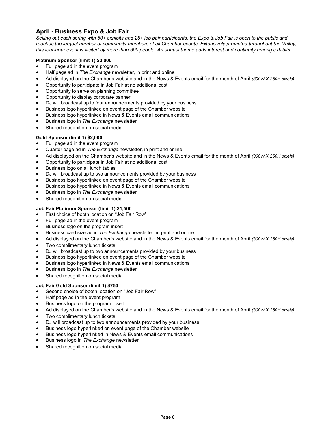# **April - Business Expo & Job Fair**

*Selling out each spring with 50+ exhibits and 25+ job pair participants, the Expo & Job Fair is open to the public and*  reaches the largest number of community members of all Chamber events. Extensively promoted throughout the Valley, *this four-hour event is visited by more than 600 people. An annual theme adds interest and continuity among exhibits.* 

#### **Platinum Sponsor (limit 1) \$3,000**

- Full page ad in the event program
- Half page ad in *The Exchange* newsletter, in print and online
- Ad displayed on the Chamber's website and in the News & Events email for the month of April *(300W X 250H pixels)*
- Opportunity to participate in Job Fair at no additional cost
- Opportunity to serve on planning committee
- Opportunity to display corporate banner
- DJ will broadcast up to four announcements provided by your business
- Business logo hyperlinked on event page of the Chamber website
- Business logo hyperlinked in News & Events email communications
- Business logo in *The Exchange* newsletter
- Shared recognition on social media

#### **Gold Sponsor (limit 1) \$2,000**

- Full page ad in the event program
- Quarter page ad in *The Exchange* newsletter, in print and online
- Ad displayed on the Chamber's website and in the News & Events email for the month of April *(300W X 250H pixels)*
- Opportunity to participate in Job Fair at no additional cost
- Business logo on all lunch tables
- DJ will broadcast up to two announcements provided by your business
- Business logo hyperlinked on event page of the Chamber website
- Business logo hyperlinked in News & Events email communications
- Business logo in *The Exchange* newsletter
- Shared recognition on social media

#### **Job Fair Platinum Sponsor (limit 1) \$1,500**

- First choice of booth location on "Job Fair Row"
- Full page ad in the event program
- Business logo on the program insert
- Business card size ad in *The Exchange* newsletter, in print and online
- Ad displayed on the Chamber's website and in the News & Events email for the month of April *(300W X 250H pixels)*
- Two complimentary lunch tickets
- DJ will broadcast up to two announcements provided by your business
- Business logo hyperlinked on event page of the Chamber website
- Business logo hyperlinked in News & Events email communications
- Business logo in *The Exchange* newsletter
- Shared recognition on social media

#### **Job Fair Gold Sponsor (limit 1) \$750**

- Second choice of booth location on "Job Fair Row"
- Half page ad in the event program
- Business logo on the program insert
- Ad displayed on the Chamber's website and in the News & Events email for the month of April *(300W X 250H pixels)*
- Two complimentary lunch tickets
- DJ will broadcast up to two announcements provided by your business
- Business logo hyperlinked on event page of the Chamber website
- Business logo hyperlinked in News & Events email communications
- Business logo in *The Exchange* newsletter
- Shared recognition on social media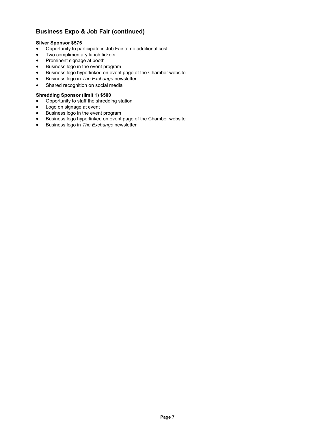# **Business Expo & Job Fair (continued)**

#### **Silver Sponsor \$575**

- Opportunity to participate in Job Fair at no additional cost
- Two complimentary lunch tickets
- Prominent signage at booth
- **•** Business logo in the event program
- Business logo hyperlinked on event page of the Chamber website
- Business logo in *The Exchange* newsletter
- Shared recognition on social media

#### **Shredding Sponsor (limit 1) \$500**

- Opportunity to staff the shredding station
- Logo on signage at event
- **•** Business logo in the event program
- Business logo hyperlinked on event page of the Chamber website
- Business logo in *The Exchange* newsletter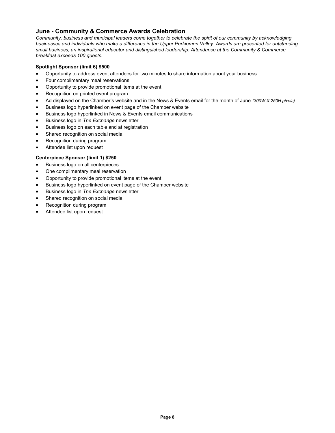## **June - Community & Commerce Awards Celebration**

*Community, business and municipal leaders come together to celebrate the spirit of our community by acknowledging businesses and individuals who make a difference in the Upper Perkiomen Valley. Awards are presented for outstanding small business, an inspirational educator and distinguished leadership. Attendance at the Community & Commerce breakfast exceeds 100 guests.* 

#### **Spotlight Sponsor (limit 6) \$500**

- Opportunity to address event attendees for two minutes to share information about your business
- Four complimentary meal reservations
- Opportunity to provide promotional items at the event
- Recognition on printed event program
- Ad displayed on the Chamber's website and in the News & Events email for the month of June *(300W X 250H pixels)*
- Business logo hyperlinked on event page of the Chamber website
- Business logo hyperlinked in News & Events email communications
- **Business logo in The Exchange newsletter**
- Business logo on each table and at registration
- Shared recognition on social media
- Recognition during program
- Attendee list upon request

#### **Centerpiece Sponsor (limit 1) \$250**

- Business logo on all centerpieces
- One complimentary meal reservation
- Opportunity to provide promotional items at the event
- Business logo hyperlinked on event page of the Chamber website
- **Business logo in The Exchange newsletter**
- Shared recognition on social media
- Recognition during program
- Attendee list upon request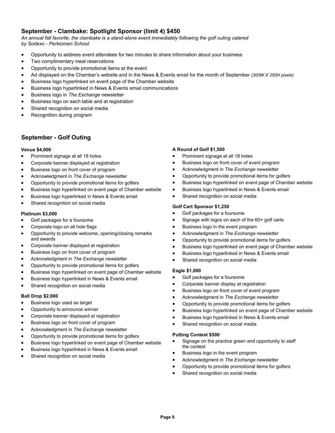# **September - Clambake: Spotlight Sponsor (limit 4) \$450**

*An annual fall favorite, the clambake is a stand-alone event immediately following the golf outing catered by Sodexo - Perkiomen School.*

- Opportunity to address event attendees for two minutes to share information about your business
- Two complimentary meal reservations
- Opportunity to provide promotional items at the event
- Ad displayed on the Chamber's website and in the News & Events email for the month of September *(300W X 250H pixels)*
- Business logo hyperlinked on event page of the Chamber website
- Business logo hyperlinked in News & Events email communications
- Business logo in *The Exchange* newsletter
- Business logo on each table and at registration
- Shared recognition on social media
- Recognition during program

# **September - Golf Outing**

#### **Venue \$4,000**

- Prominent signage at all 18 holes
- Corporate banner displayed at registration
- Business logo on front cover of program
- Acknowledgment in *The Exchange* newsletter
- Opportunity to provide promotional items for golfers
- Business logo hyperlinked on event page of Chamber website
- Business logo hyperlinked in News & Events email
- Shared recognition on social media

#### **Platinum \$3,000**

- Golf packages for a foursome
- Corporate logo on all hole flags
- Opportunity to provide welcome, opening/closing remarks and awards
- Corporate banner displayed at registration
- Business logo on front cover of program
- Acknowledgment in *The Exchange* newsletter
- Opportunity to provide promotional items for golfers
- Business logo hyperlinked on event page of Chamber website
- Business logo hyperlinked in News & Events email
- Shared recognition on social media

#### **Ball Drop \$2,000**

- Business logo used as target
- Opportunity to announce winner
- Corporate banner displayed at registration
- Business logo on front cover of program
- Acknowledgment in *The Exchange* newsletter
- Opportunity to provide promotional items for golfers
- Business logo hyperlinked on event page of Chamber website
- Business logo hyperlinked in News & Events email
- Shared recognition on social media

#### **A Round of Golf \$1,500**

- Prominent signage at all 18 holes
- Business logo on front cover of event program
- Acknowledgment in *The Exchange* newsletter
- Opportunity to provide promotional items for golfers
- Business logo hyperlinked on event page of Chamber website
- Business logo hyperlinked in News & Events email
- Shared recognition on social media

#### **Golf Cart Sponsor \$1,250**

- Golf packages for a foursome
- Signage with logos on each of the 60+ golf carts
- Business logo in the event program
- Acknowledgment in *The Exchange* newsletter
- Opportunity to provide promotional items for golfers
- Business logo hyperlinked on event page of Chamber website
- Business logo hyperlinked in News & Events email
- Shared recognition on social media

#### **Eagle \$1,000**

- Golf packages for a foursome
- Corporate banner display at registration
- Business logo on front cover of event program
- Acknowledgment in *The Exchange* newsletter
- Opportunity to provide promotional items for golfers
- Business logo hyperlinked on event page of Chamber website
- Business logo hyperlinked in News & Events email
- Shared recognition on social media

#### **Putting Contest \$500**

- Signage on the practice green and opportunity to staff the contest
- Business logo in the event program
- Acknowledgment in *The Exchange* newsletter
- Opportunity to provide promotional items for golfers
- Shared recognition on social media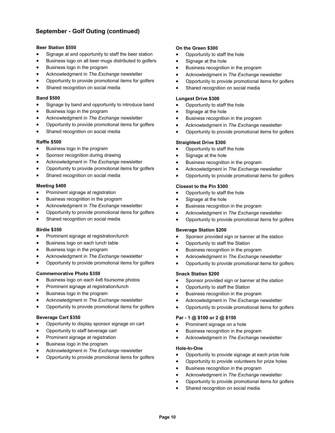# **September - Golf Outing (continued)**

#### **Beer Station \$550**

- Signage at and opportunity to staff the beer station
- Business logo on all beer mugs distributed to golfers
- Business logo in the program
- Acknowledgment in *The Exchange* newsletter
- Opportunity to provide promotional items for golfers
- Shared recognition on social media

#### **Band \$500**

- Signage by band and opportunity to introduce band
- Business logo in the program
- Acknowledgment in *The Exchange* newsletter
- Opportunity to provide promotional items for golfers
- Shared recognition on social media

#### **Raffle \$500**

- Business logo in the program
- Sponsor recognition during drawing
- Acknowledgment in *The Exchange* newsletter
- Opportunity to provide promotional items for golfers
- Shared recognition on social media

#### **Meeting \$400**

- Prominent signage at registration
- Business recognition in the program
- Acknowledgment in *The Exchange* newsletter
- Opportunity to provide promotional items for golfers
- Shared recognition on social media

#### **Birdie \$350**

- Prominent signage at registration/lunch
- Business logo on each lunch table
- Business logo in the program
- Acknowledgment in *The Exchange* newsletter
- Opportunity to provide promotional items for golfers

#### **Commemorative Photo \$350**

- Business logo on each 4x6 foursome photos
- Prominent signage at registration/lunch
- Business logo in the program
- Acknowledgment in *The Exchange* newsletter
- Opportunity to provide promotional items for golfers

#### **Beverage Cart \$350**

- Opportunity to display sponsor signage on cart
- Opportunity to staff beverage cart
- Prominent signage at registration
- Business logo in the program
- Acknowledgment in *The Exchange* newsletter
- Opportunity to provide promotional items for golfers

#### **On the Green \$300**

- Opportunity to staff the hole
- Signage at the hole
- **•** Business recognition in the program
- Acknowledgment in *The Exchange* newsletter
- Opportunity to provide promotional items for golfers
- Shared recognition on social media

#### **Longest Drive \$300**

- Opportunity to staff the hole
- Signage at the hole
- **Business recognition in the program**
- Acknowledgment in *The Exchange* newsletter
- Opportunity to provide promotional items for golfers

#### **Straightest Drive \$300**

- Opportunity to staff the hole
- Signage at the hole
- **•** Business recognition in the program
- Acknowledgment in *The Exchange* newsletter
- Opportunity to provide promotional items for golfers

#### **Closest to the Pin \$300**

- Opportunity to staff the hole
- Signage at the hole
- Business recognition in the program
- Acknowledgment in *The Exchange* newsletter
- Opportunity to provide promotional items for golfers

#### **Beverage Station \$200**

- Sponsor provided sign or banner at the station
- Opportunity to staff the Station
- **•** Business recognition in the program
- Acknowledgment in *The Exchange* newsletter
- Opportunity to provide promotional items for golfers

#### **Snack Station \$200**

- Sponsor provided sign or banner at the station
- Opportunity to staff the Station
- **•** Business recognition in the program
- Acknowledgment in *The Exchange* newsletter
- Opportunity to provide promotional items for golfers

#### **Par - 1 @ \$100 or 2 @ \$150**

- Prominent signage on a hole
- **•** Business recognition in the program
- Acknowledgment in *The Exchange* newsletter

#### **Hole-In-One**

- Opportunity to provide signage at each prize hole
- Opportunity to provide volunteers for prize holes
- Business recognition in the program
- Acknowledgment in *The Exchange* newsletter
- Opportunity to provide promotional items for golfers
- Shared recognition on social media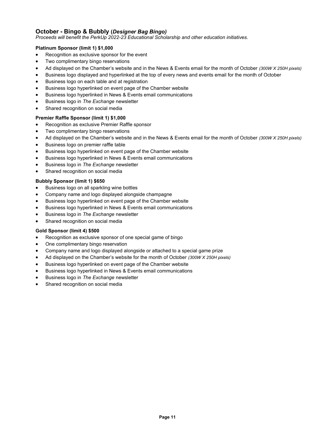# **October - Bingo & Bubbly (***Designer Bag Bingo)*

*Proceeds will benefit the PerkUp 2022-23 Educational Scholarship and other education initiatives.*

#### **Platinum Sponsor (limit 1) \$1,000**

- Recognition as exclusive sponsor for the event
- Two complimentary bingo reservations
- Ad displayed on the Chamber's website and in the News & Events email for the month of October *(300W X 250H pixels)*
- Business logo displayed and hyperlinked at the top of every news and events email for the month of October
- Business logo on each table and at registration
- Business logo hyperlinked on event page of the Chamber website
- Business logo hyperlinked in News & Events email communications
- Business logo in *The Exchange* newsletter
- Shared recognition on social media

#### **Premier Raffle Sponsor (limit 1) \$1,000**

- Recognition as exclusive Premier Raffle sponsor
- Two complimentary bingo reservations
- Ad displayed on the Chamber's website and in the News & Events email for the month of October *(300W X 250H pixels)*
- Business logo on premier raffle table
- Business logo hyperlinked on event page of the Chamber website
- Business logo hyperlinked in News & Events email communications
- Business logo in *The Exchange* newsletter
- Shared recognition on social media

#### **Bubbly Sponsor (limit 1) \$650**

- Business logo on all sparkling wine bottles
- Company name and logo displayed alongside champagne
- Business logo hyperlinked on event page of the Chamber website
- Business logo hyperlinked in News & Events email communications
- Business logo in *The Exchange* newsletter
- Shared recognition on social media

#### **Gold Sponsor (limit 4) \$500**

- Recognition as exclusive sponsor of one special game of bingo
- One complimentary bingo reservation
- Company name and logo displayed alongside or attached to a special game prize
- Ad displayed on the Chamber's website for the month of October *(300W X 250H pixels)*
- Business logo hyperlinked on event page of the Chamber website
- Business logo hyperlinked in News & Events email communications
- Business logo in *The Exchange* newsletter
- Shared recognition on social media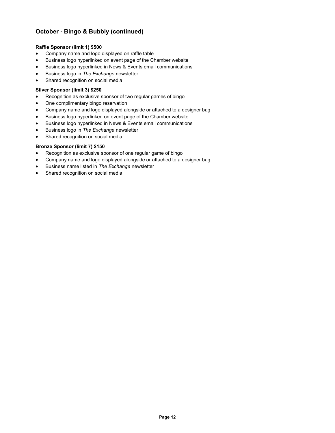# **October - Bingo & Bubbly (continued)**

#### **Raffle Sponsor (limit 1) \$500**

- Company name and logo displayed on raffle table
- Business logo hyperlinked on event page of the Chamber website
- Business logo hyperlinked in News & Events email communications
- Business logo in *The Exchange* newsletter
- Shared recognition on social media

#### **Silver Sponsor (limit 3) \$250**

- Recognition as exclusive sponsor of two regular games of bingo
- One complimentary bingo reservation
- Company name and logo displayed alongside or attached to a designer bag
- Business logo hyperlinked on event page of the Chamber website
- Business logo hyperlinked in News & Events email communications
- **Business logo in The Exchange newsletter**
- Shared recognition on social media

#### **Bronze Sponsor (limit 7) \$150**

- Recognition as exclusive sponsor of one regular game of bingo
- Company name and logo displayed alongside or attached to a designer bag
- Business name listed in *The Exchange* newsletter
- Shared recognition on social media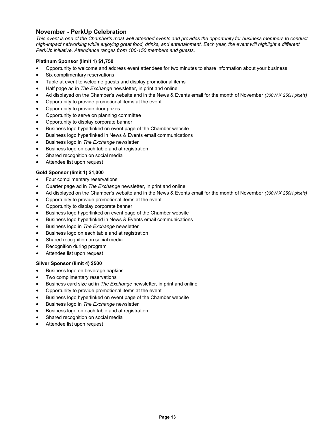## **November - PerkUp Celebration**

*This event is one of the Chamber's most well attended events and provides the opportunity for business members to conduct high-impact networking while enjoying great food, drinks, and entertainment. Each year, the event will highlight a different PerkUp initiative. Attendance ranges from 100-150 members and guests.*

#### **Platinum Sponsor (limit 1) \$1,750**

- Opportunity to welcome and address event attendees for two minutes to share information about your business
- Six complimentary reservations
- Table at event to welcome guests and display promotional items
- Half page ad in *The Exchange* newsletter, in print and online
- Ad displayed on the Chamber's website and in the News & Events email for the month of November *(300W X 250H pixels)*
- Opportunity to provide promotional items at the event
- Opportunity to provide door prizes
- Opportunity to serve on planning committee
- Opportunity to display corporate banner
- Business logo hyperlinked on event page of the Chamber website
- Business logo hyperlinked in News & Events email communications
- Business logo in *The Exchange* newsletter
- Business logo on each table and at registration
- Shared recognition on social media
- Attendee list upon request

#### **Gold Sponsor (limit 1) \$1,000**

- Four complimentary reservations
- Quarter page ad in *The Exchange* newsletter, in print and online
- Ad displayed on the Chamber's website and in the News & Events email for the month of November *(300W X 250H pixels)*
- Opportunity to provide promotional items at the event
- Opportunity to display corporate banner
- Business logo hyperlinked on event page of the Chamber website
- Business logo hyperlinked in News & Events email communications
- Business logo in *The Exchange* newsletter
- Business logo on each table and at registration
- Shared recognition on social media
- Recognition during program
- Attendee list upon request

#### **Silver Sponsor (limit 4) \$500**

- Business logo on beverage napkins
- Two complimentary reservations
- Business card size ad in *The Exchange* newsletter, in print and online
- Opportunity to provide promotional items at the event
- Business logo hyperlinked on event page of the Chamber website
- Business logo in *The Exchange* newsletter
- Business logo on each table and at registration
- Shared recognition on social media
- Attendee list upon request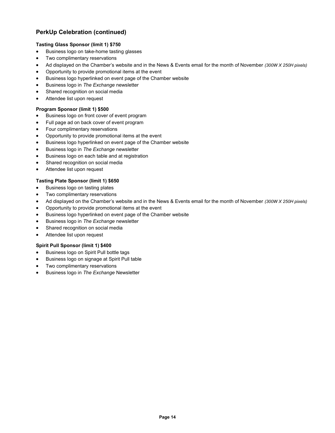# **PerkUp Celebration (continued)**

#### **Tasting Glass Sponsor (limit 1) \$750**

- Business logo on take-home tasting glasses
- Two complimentary reservations
- Ad displayed on the Chamber's website and in the News & Events email for the month of November *(300W X 250H pixels)*
- Opportunity to provide promotional items at the event
- Business logo hyperlinked on event page of the Chamber website
- Business logo in *The Exchange* newsletter
- Shared recognition on social media
- Attendee list upon request

#### **Program Sponsor (limit 1) \$500**

- Business logo on front cover of event program
- Full page ad on back cover of event program
- Four complimentary reservations
- Opportunity to provide promotional items at the event
- Business logo hyperlinked on event page of the Chamber website
- Business logo in *The Exchange* newsletter
- Business logo on each table and at registration
- Shared recognition on social media
- Attendee list upon request

#### **Tasting Plate Sponsor (limit 1) \$650**

- Business logo on tasting plates
- Two complimentary reservations
- Ad displayed on the Chamber's website and in the News & Events email for the month of November *(300W X 250H pixels)*
- Opportunity to provide promotional items at the event
- Business logo hyperlinked on event page of the Chamber website
- Business logo in *The Exchange* newsletter
- Shared recognition on social media
- Attendee list upon request

#### **Spirit Pull Sponsor (limit 1) \$400**

- Business logo on Spirit Pull bottle tags
- Business logo on signage at Spirit Pull table
- Two complimentary reservations
- Business logo in *The Exchange* Newsletter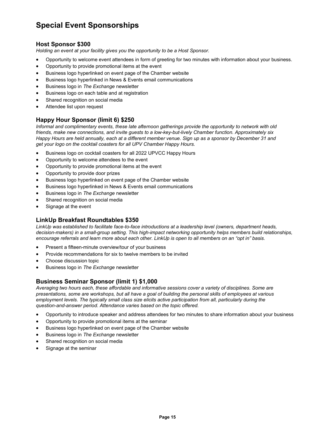# **Special Event Sponsorships**

### **Host Sponsor \$300**

*Holding an event at your facility gives you the opportunity to be a Host Sponsor.* 

- Opportunity to welcome event attendees in form of greeting for two minutes with information about your business.
- Opportunity to provide promotional items at the event
- Business logo hyperlinked on event page of the Chamber website
- Business logo hyperlinked in News & Events email communications
- Business logo in *The Exchange* newsletter
- Business logo on each table and at registration
- Shared recognition on social media
- Attendee list upon request

# **Happy Hour Sponsor (limit 6) \$250**

*Informal and complimentary events, these late afternoon gatherings provide the opportunity to network with old friends, make new connections, and invite guests to a low-key-but-lively Chamber function. Approximately six Happy Hours are held annually, each at a different member venue. Sign up as a sponsor by December 31 and get your logo on the cocktail coasters for all UPV Chamber Happy Hours.*

- Business logo on cocktail coasters for all 2022 UPVCC Happy Hours
- Opportunity to welcome attendees to the event
- Opportunity to provide promotional items at the event
- Opportunity to provide door prizes
- Business logo hyperlinked on event page of the Chamber website
- Business logo hyperlinked in News & Events email communications
- Business logo in *The Exchange* newsletter
- Shared recognition on social media
- Signage at the event

# **LinkUp Breakfast Roundtables \$350**

*LinkUp was established to facilitate face-to-face introductions at a leadership level (owners, department heads, decision-makers) in a small-group setting. This high-impact networking opportunity helps members build relationships, encourage referrals and learn more about each other. LinkUp is open to all members on an "opt in" basis.*

- Present a fifteen-minute overview/tour of your business
- Provide recommendations for six to twelve members to be invited
- Choose discussion topic
- Business logo in *The Exchange* newsletter

### **Business Seminar Sponsor (limit 1) \$1,000**

*Averaging two hours each, these affordable and informative sessions cover a variety of disciplines. Some are presentations, some are workshops, but all have a goal of building the personal skills of employees at various*  employment levels. The typically small class size elicits active participation from all, particularly during the *question-and-answer period. Attendance varies based on the topic offered.* 

- Opportunity to introduce speaker and address attendees for two minutes to share information about your business
- Opportunity to provide promotional items at the seminar
- Business logo hyperlinked on event page of the Chamber website
- Business logo in *The Exchange* newsletter
- Shared recognition on social media
- Signage at the seminar